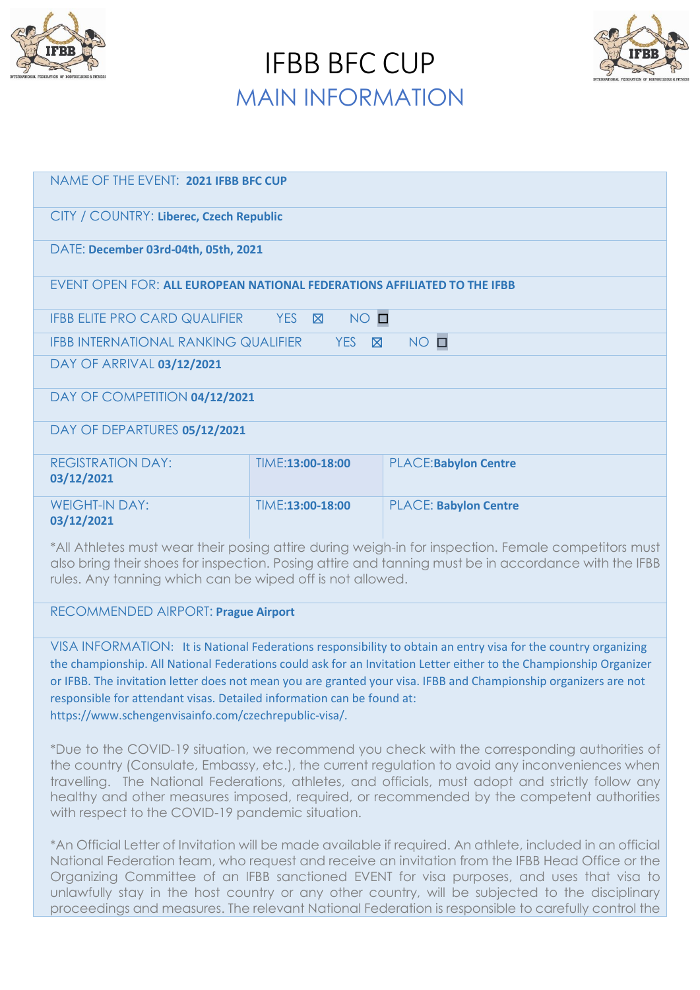

IFBB BFC CUP MAIN INFORMATION



| NAME OF THE EVENT: 2021 IFBB BFC CUP                                                       |                      |                              |  |  |
|--------------------------------------------------------------------------------------------|----------------------|------------------------------|--|--|
| CITY / COUNTRY: Liberec, Czech Republic                                                    |                      |                              |  |  |
| DATE: December 03rd-04th, 05th, 2021                                                       |                      |                              |  |  |
| EVENT OPEN FOR: ALL EUROPEAN NATIONAL FEDERATIONS AFFILIATED TO THE IFBB                   |                      |                              |  |  |
| <b>IFBB ELITE PRO CARD QUALIFIER</b>                                                       | NO O<br>YES <b>N</b> |                              |  |  |
| $NO$ $\square$<br><b>IFBB INTERNATIONAL RANKING QUALIFIER</b><br><b>YES</b><br>$\boxtimes$ |                      |                              |  |  |
| DAY OF ARRIVAL 03/12/2021                                                                  |                      |                              |  |  |
| DAY OF COMPETITION 04/12/2021                                                              |                      |                              |  |  |
| DAY OF DEPARTURES 05/12/2021                                                               |                      |                              |  |  |
| <b>REGISTRATION DAY:</b><br>03/12/2021                                                     | TIME:13:00-18:00     | <b>PLACE:Babylon Centre</b>  |  |  |
| <b>WEIGHT-IN DAY:</b><br>03/12/2021                                                        | TIME:13:00-18:00     | <b>PLACE: Babylon Centre</b> |  |  |

\*All Athletes must wear their posing attire during weigh-in for inspection. Female competitors must also bring their shoes for inspection. Posing attire and tanning must be in accordance with the IFBB rules. Any tanning which can be wiped off is not allowed.

### RECOMMENDED AIRPORT: **Prague Airport**

VISA INFORMATION: It is National Federations responsibility to obtain an entry visa for the country organizing the championship. All National Federations could ask for an Invitation Letter either to the Championship Organizer or IFBB. The invitation letter does not mean you are granted your visa. IFBB and Championship organizers are not responsible for attendant visas. Detailed information can be found at: https://www.schengenvisainfo.com/czechrepublic-visa/.

\*Due to the COVID-19 situation, we recommend you check with the corresponding authorities of the country (Consulate, Embassy, etc.), the current regulation to avoid any inconveniences when travelling. The National Federations, athletes, and officials, must adopt and strictly follow any healthy and other measures imposed, required, or recommended by the competent authorities with respect to the COVID-19 pandemic situation.

\*An Official Letter of Invitation will be made available if required. An athlete, included in an official National Federation team, who request and receive an invitation from the IFBB Head Office or the Organizing Committee of an IFBB sanctioned EVENT for visa purposes, and uses that visa to unlawfully stay in the host country or any other country, will be subjected to the disciplinary proceedings and measures. The relevant National Federation is responsible to carefully control the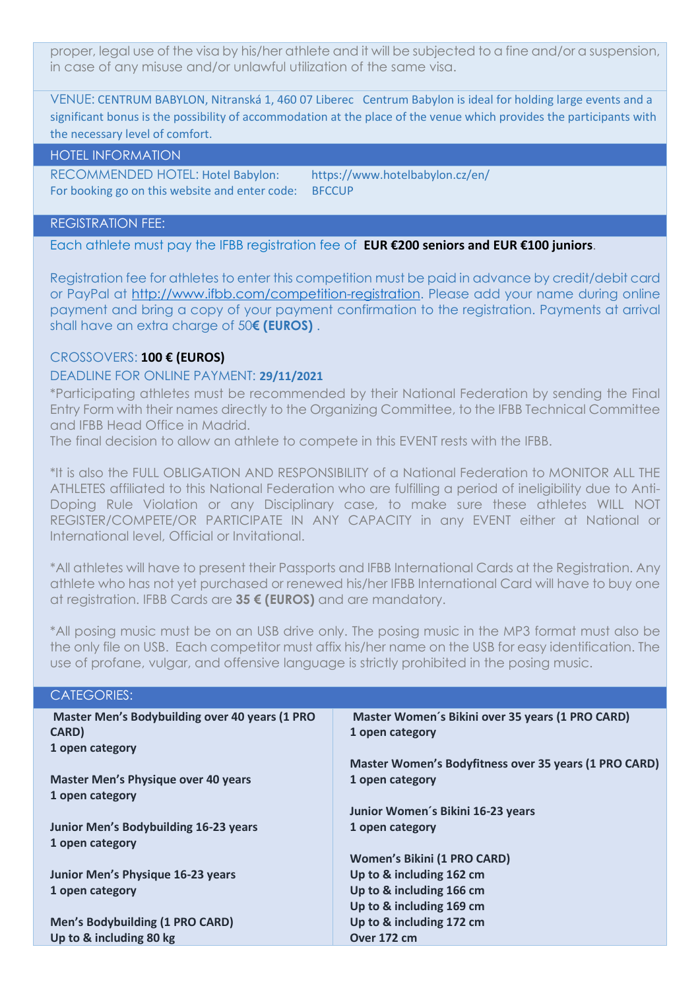proper, legal use of the visa by his/her athlete and it will be subjected to a fine and/or a suspension, in case of any misuse and/or unlawful utilization of the same visa.

VENUE: CENTRUM BABYLON, Nitranská 1, 460 07 Liberec Centrum Babylon is ideal for holding large events and a significant bonus is the possibility of accommodation at the place of the venue which provides the participants with the necessary level of comfort.

HOTEL INFORMATION

RECOMMENDED HOTEL: Hotel Babylon: https://www.hotelbabylon.cz/en/ For booking go on this website and enter code: BFCCUP

#### REGISTRATION FEE:

Each athlete must pay the IFBB registration fee of **EUR €200 seniors and EUR €100 juniors**.

Registration fee for athletes to enter this competition must be paid in advance by credit/debit card or PayPal at [http://www.ifbb.com/competition-registration.](http://www.ifbb.com/competition-registration) Please add your name during online payment and bring a copy of your payment confirmation to the registration. Payments at arrival shall have an extra charge of 50**€ (EUROS)** .

# CROSSOVERS: **100 € (EUROS)**

### DEADLINE FOR ONLINE PAYMENT: **29/11/2021**

\*Participating athletes must be recommended by their National Federation by sending the Final Entry Form with their names directly to the Organizing Committee, to the IFBB Technical Committee and IFBB Head Office in Madrid.

The final decision to allow an athlete to compete in this EVENT rests with the IFBB.

\*It is also the FULL OBLIGATION AND RESPONSIBILITY of a National Federation to MONITOR ALL THE ATHLETES affiliated to this National Federation who are fulfilling a period of ineligibility due to Anti-Doping Rule Violation or any Disciplinary case, to make sure these athletes WILL NOT REGISTER/COMPETE/OR PARTICIPATE IN ANY CAPACITY in any EVENT either at National or International level, Official or Invitational.

\*All athletes will have to present their Passports and IFBB International Cards at the Registration. Any athlete who has not yet purchased or renewed his/her IFBB International Card will have to buy one at registration. IFBB Cards are **35 € (EUROS)** and are mandatory.

\*All posing music must be on an USB drive only. The posing music in the MP3 format must also be the only file on USB. Each competitor must affix his/her name on the USB for easy identification. The use of profane, vulgar, and offensive language is strictly prohibited in the posing music.

| <b>CATEGORIES:</b>                                    |                                                       |
|-------------------------------------------------------|-------------------------------------------------------|
| <b>Master Men's Bodybuilding over 40 years (1 PRO</b> | Master Women's Bikini over 35 years (1 PRO CARD)      |
| <b>CARD</b> )                                         | 1 open category                                       |
| 1 open category                                       |                                                       |
|                                                       | Master Women's Bodyfitness over 35 years (1 PRO CARD) |
| <b>Master Men's Physique over 40 years</b>            | 1 open category                                       |
| 1 open category                                       |                                                       |
|                                                       | Junior Women's Bikini 16-23 years                     |
| <b>Junior Men's Bodybuilding 16-23 years</b>          | 1 open category                                       |
| 1 open category                                       |                                                       |
|                                                       | <b>Women's Bikini (1 PRO CARD)</b>                    |
| Junior Men's Physique 16-23 years                     | Up to & including 162 cm                              |
| 1 open category                                       | Up to & including 166 cm                              |
|                                                       | Up to & including 169 cm                              |
| <b>Men's Bodybuilding (1 PRO CARD)</b>                | Up to & including 172 cm                              |
| Up to & including 80 kg                               | Over 172 cm                                           |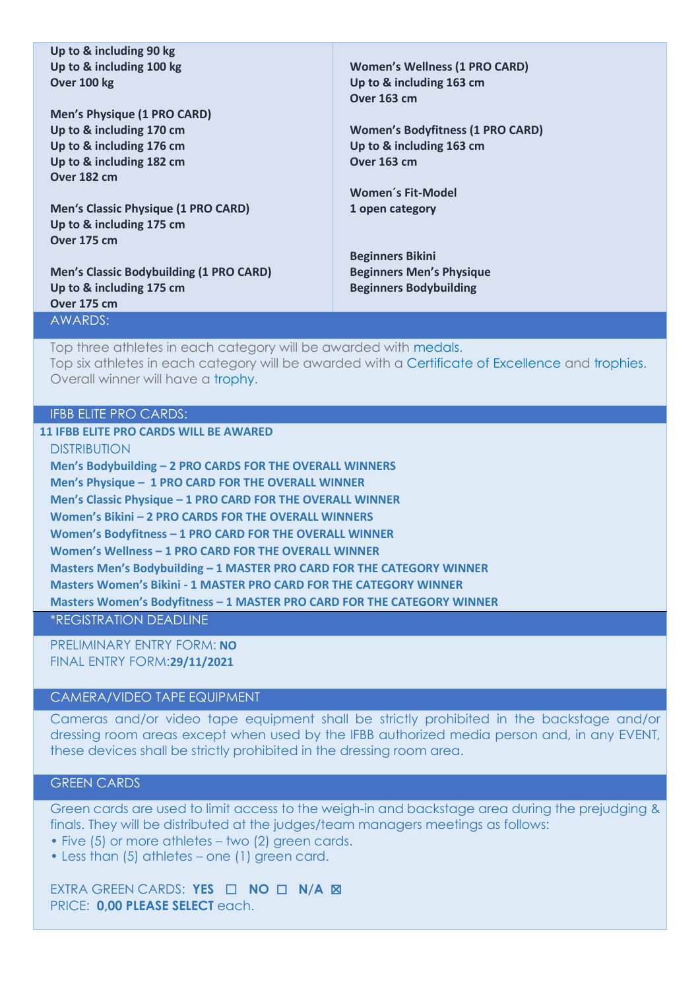**Up to & including 90 kg Up to & including 100 kg Over 100 kg**

**Men's Physique (1 PRO CARD) Up to & including 170 cm Up to & including 176 cm Up to & including 182 cm Over 182 cm**

**Men's Classic Physique (1 PRO CARD) Up to & including 175 cm Over 175 cm**

**Men's Classic Bodybuilding (1 PRO CARD) Up to & including 175 cm Over 175 cm** AWARDS:

**Women's Wellness (1 PRO CARD) Up to & including 163 cm Over 163 cm**

**Women's Bodyfitness (1 PRO CARD) Up to & including 163 cm Over 163 cm**

**Women´s Fit-Model 1 open category**

**Beginners Bikini Beginners Men's Physique Beginners Bodybuilding**

Top three athletes in each category will be awarded with medals. Top six athletes in each category will be awarded with a Certificate of Excellence and trophies. Overall winner will have a trophy.

# IFBB ELITE PRO CARDS:

**11 IFBB ELITE PRO CARDS WILL BE AWARED** 

DISTRIBUTION **Men's Bodybuilding – 2 PRO CARDS FOR THE OVERALL WINNERS Men's Physique – 1 PRO CARD FOR THE OVERALL WINNER Men's Classic Physique – 1 PRO CARD FOR THE OVERALL WINNER Women's Bikini – 2 PRO CARDS FOR THE OVERALL WINNERS Women's Bodyfitness – 1 PRO CARD FOR THE OVERALL WINNER Women's Wellness – 1 PRO CARD FOR THE OVERALL WINNER Masters Men's Bodybuilding – 1 MASTER PRO CARD FOR THE CATEGORY WINNER Masters Women's Bikini - 1 MASTER PRO CARD FOR THE CATEGORY WINNER Masters Women's Bodyfitness – 1 MASTER PRO CARD FOR THE CATEGORY WINNER** \*REGISTRATION DEADLINE

PRELIMINARY ENTRY FORM: **NO** FINAL ENTRY FORM:**29/11/2021**

#### CAMERA/VIDEO TAPE EQUIPMENT

Cameras and/or video tape equipment shall be strictly prohibited in the backstage and/or dressing room areas except when used by the IFBB authorized media person and, in any EVENT, these devices shall be strictly prohibited in the dressing room area.

### GREEN CARDS

Green cards are used to limit access to the weigh-in and backstage area during the prejudging & finals. They will be distributed at the judges/team managers meetings as follows:

- Five (5) or more athletes two (2) green cards.
- Less than (5) athletes one (1) green card.

EXTRA GREEN CARDS: **YES** ☐ **NO** ☐ **N/A** ☒ PRICE: **0,00 PLEASE SELECT** each.